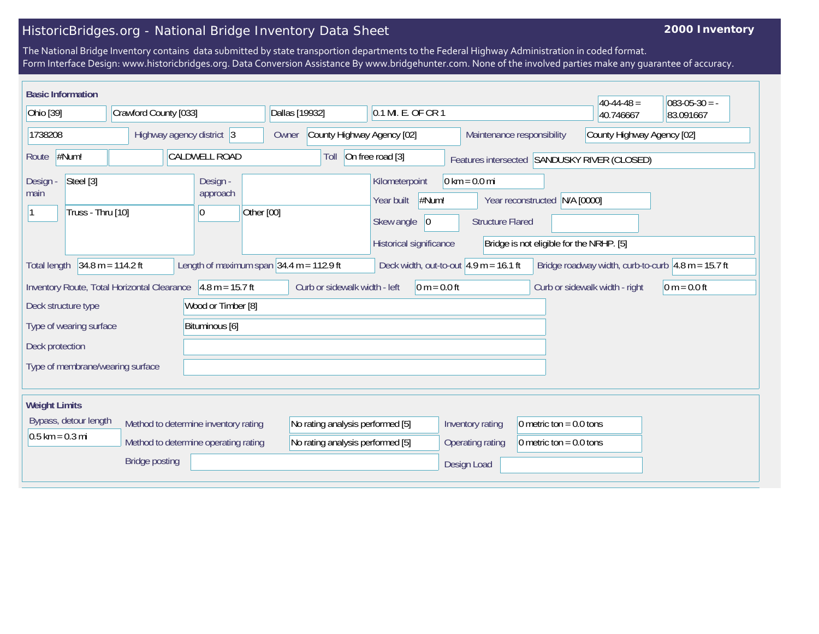## HistoricBridges.org - National Bridge Inventory Data Sheet

## **2000 Inventory**

The National Bridge Inventory contains data submitted by state transportion departments to the Federal Highway Administration in coded format. Form Interface Design: www.historicbridges.org. Data Conversion Assistance By www.bridgehunter.com. None of the involved parties make any guarantee of accuracy.

| <b>Basic Information</b>                           |                                             |                                                                              |                                                                      |                                                                                       |                                                            |                                                                           | $40-44-48=$                                  | $083-05-30 = -$                                                            |
|----------------------------------------------------|---------------------------------------------|------------------------------------------------------------------------------|----------------------------------------------------------------------|---------------------------------------------------------------------------------------|------------------------------------------------------------|---------------------------------------------------------------------------|----------------------------------------------|----------------------------------------------------------------------------|
| Ohio [39]                                          | Crawford County [033]                       |                                                                              | Dallas [19932]                                                       | 0.1 MI. E. OF CR 1                                                                    |                                                            |                                                                           | 40.746667                                    | 83.091667                                                                  |
| 1738208                                            | Highway agency district 3                   |                                                                              | County Highway Agency [02]<br>Owner                                  |                                                                                       | Maintenance responsibility                                 |                                                                           | County Highway Agency [02]                   |                                                                            |
| #Num!<br>Route                                     |                                             | <b>CALDWELL ROAD</b>                                                         | Toll                                                                 | On free road [3]                                                                      |                                                            |                                                                           | Features intersected SANDUSKY RIVER (CLOSED) |                                                                            |
| Steel [3]<br>Design -<br>main<br>Truss - Thru [10] |                                             | Design -<br>approach<br>Other [00]<br>0                                      |                                                                      | Kilometerpoint<br>#Num!<br>Year built<br>Skew angle<br> 0 <br>Historical significance | $0 \text{ km} = 0.0 \text{ mi}$<br><b>Structure Flared</b> | Year reconstructed N/A [0000]<br>Bridge is not eligible for the NRHP. [5] |                                              |                                                                            |
| <b>Total length</b>                                | $34.8 m = 114.2 ft$                         |                                                                              | Length of maximum span $34.4$ m = 112.9 ft                           | Deck width, out-to-out $ 4.9 \text{ m} = 16.1 \text{ ft} $                            |                                                            |                                                                           |                                              | Bridge roadway width, curb-to-curb $\vert 4.8 \text{ m} = 15.7 \text{ ft}$ |
|                                                    | Inventory Route, Total Horizontal Clearance | $4.8 m = 15.7 ft$                                                            | Curb or sidewalk width - left                                        | $0 m = 0.0 ft$                                                                        |                                                            |                                                                           | Curb or sidewalk width - right               | $ 0 m = 0.0 ft$                                                            |
| Deck structure type                                |                                             | Wood or Timber [8]                                                           |                                                                      |                                                                                       |                                                            |                                                                           |                                              |                                                                            |
| Type of wearing surface                            |                                             | Bituminous [6]                                                               |                                                                      |                                                                                       |                                                            |                                                                           |                                              |                                                                            |
| Deck protection                                    |                                             |                                                                              |                                                                      |                                                                                       |                                                            |                                                                           |                                              |                                                                            |
| Type of membrane/wearing surface                   |                                             |                                                                              |                                                                      |                                                                                       |                                                            |                                                                           |                                              |                                                                            |
| <b>Weight Limits</b>                               |                                             |                                                                              |                                                                      |                                                                                       |                                                            |                                                                           |                                              |                                                                            |
| Bypass, detour length<br>$0.5$ km = 0.3 mi         |                                             | Method to determine inventory rating<br>Method to determine operating rating | No rating analysis performed [5]<br>No rating analysis performed [5] |                                                                                       | Inventory rating<br>Operating rating                       | 0 metric ton = $0.0$ tons<br>0 metric ton = $0.0$ tons                    |                                              |                                                                            |
|                                                    | <b>Bridge posting</b>                       |                                                                              |                                                                      |                                                                                       | Design Load                                                |                                                                           |                                              |                                                                            |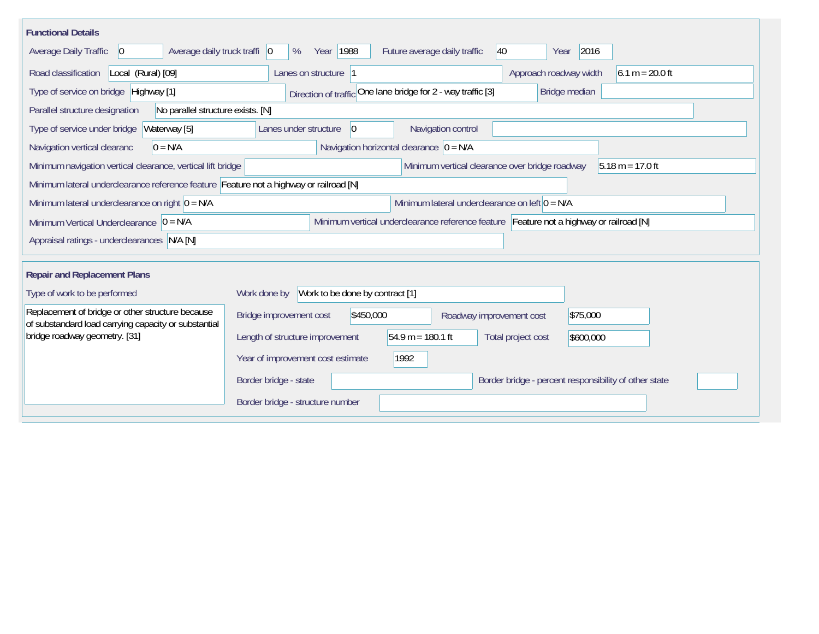| <b>Functional Details</b>                                                                                |                                                                                           |
|----------------------------------------------------------------------------------------------------------|-------------------------------------------------------------------------------------------|
| Average daily truck traffi   0<br>Average Daily Traffic<br>$ 0\rangle$                                   | 2016<br>Year   1988<br>Future average daily traffic<br>$ 40\rangle$<br>%<br>Year          |
| Road classification<br>Local (Rural) [09]                                                                | $6.1 m = 20.0 ft$<br>Lanes on structure  1<br>Approach roadway width                      |
| Type of service on bridge Highway [1]                                                                    | Direction of traffic One lane bridge for 2 - way traffic [3]<br>Bridge median             |
| Parallel structure designation<br>No parallel structure exists. [N]                                      |                                                                                           |
| Waterway [5]<br>Type of service under bridge                                                             | Navigation control<br>Lanes under structure<br>$ 0\rangle$                                |
| Navigation vertical clearanc<br>$0 = N/A$                                                                | Navigation horizontal clearance $ 0 = N/A$                                                |
| Minimum navigation vertical clearance, vertical lift bridge                                              | Minimum vertical clearance over bridge roadway<br>$5.18 m = 17.0 ft$                      |
| Minimum lateral underclearance reference feature Feature not a highway or railroad [N]                   |                                                                                           |
| Minimum lateral underclearance on right $ 0 = N/A$                                                       | Minimum lateral underclearance on left $0 = N/A$                                          |
| Minimum Vertical Underclearance $ 0 = N/A$                                                               | Minimum vertical underclearance reference feature Feature not a highway or railroad [N]   |
| Appraisal ratings - underclearances N/A [N]                                                              |                                                                                           |
|                                                                                                          |                                                                                           |
| <b>Repair and Replacement Plans</b>                                                                      |                                                                                           |
| Type of work to be performed                                                                             | Work to be done by contract [1]<br>Work done by                                           |
| Replacement of bridge or other structure because<br>of substandard load carrying capacity or substantial | Bridge improvement cost<br>\$450,000<br>\$75,000<br>Roadway improvement cost              |
| bridge roadway geometry. [31]                                                                            | $54.9 m = 180.1 ft$<br>Length of structure improvement<br>Total project cost<br>\$600,000 |
|                                                                                                          | 1992<br>Year of improvement cost estimate                                                 |
|                                                                                                          | Border bridge - state<br>Border bridge - percent responsibility of other state            |
|                                                                                                          | Border bridge - structure number                                                          |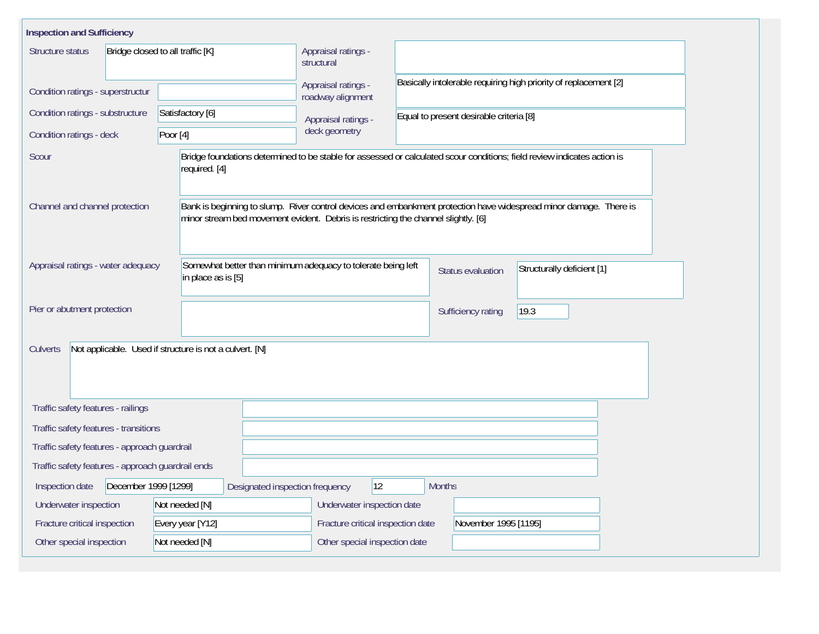| <b>Inspection and Sufficiency</b>                                                                                                                  |                      |                  |                                          |                                                                  |                                   |                            |                                                                                                                    |  |  |
|----------------------------------------------------------------------------------------------------------------------------------------------------|----------------------|------------------|------------------------------------------|------------------------------------------------------------------|-----------------------------------|----------------------------|--------------------------------------------------------------------------------------------------------------------|--|--|
| Structure status<br>Bridge closed to all traffic [K]                                                                                               |                      |                  |                                          | Appraisal ratings -<br>structural                                |                                   |                            |                                                                                                                    |  |  |
| Condition ratings - superstructur                                                                                                                  |                      |                  | Appraisal ratings -<br>roadway alignment | Basically intolerable requiring high priority of replacement [2] |                                   |                            |                                                                                                                    |  |  |
| Condition ratings - substructure                                                                                                                   |                      | Satisfactory [6] |                                          |                                                                  | Appraisal ratings -               |                            | Equal to present desirable criteria [8]                                                                            |  |  |
| Condition ratings - deck                                                                                                                           |                      | Poor $[4]$       |                                          |                                                                  | deck geometry                     |                            |                                                                                                                    |  |  |
| Bridge foundations determined to be stable for assessed or calculated scour conditions; field review indicates action is<br>Scour<br>required. [4] |                      |                  |                                          |                                                                  |                                   |                            |                                                                                                                    |  |  |
| Channel and channel protection<br>minor stream bed movement evident. Debris is restricting the channel slightly. [6]                               |                      |                  |                                          |                                                                  |                                   |                            | Bank is beginning to slump. River control devices and embankment protection have widespread minor damage. There is |  |  |
| Somewhat better than minimum adequacy to tolerate being left<br>Appraisal ratings - water adequacy<br>in place as is [5]                           |                      |                  |                                          |                                                                  | <b>Status evaluation</b>          | Structurally deficient [1] |                                                                                                                    |  |  |
| Pier or abutment protection                                                                                                                        |                      |                  |                                          |                                                                  | Sufficiency rating                | 19.3                       |                                                                                                                    |  |  |
| Not applicable. Used if structure is not a culvert. [N]<br>Culverts                                                                                |                      |                  |                                          |                                                                  |                                   |                            |                                                                                                                    |  |  |
| Traffic safety features - railings                                                                                                                 |                      |                  |                                          |                                                                  |                                   |                            |                                                                                                                    |  |  |
| Traffic safety features - transitions                                                                                                              |                      |                  |                                          |                                                                  |                                   |                            |                                                                                                                    |  |  |
| Traffic safety features - approach quardrail                                                                                                       |                      |                  |                                          |                                                                  |                                   |                            |                                                                                                                    |  |  |
| Traffic safety features - approach guardrail ends                                                                                                  |                      |                  |                                          |                                                                  |                                   |                            |                                                                                                                    |  |  |
| Inspection date                                                                                                                                    | December 1999 [1299] |                  |                                          | Designated inspection frequency                                  | 12                                |                            | <b>Months</b>                                                                                                      |  |  |
| Underwater inspection                                                                                                                              |                      | Not needed [N]   |                                          |                                                                  | Underwater inspection date        |                            |                                                                                                                    |  |  |
| Fracture critical inspection                                                                                                                       |                      | Every year [Y12] |                                          |                                                                  | Fracture critical inspection date |                            | November 1995 [1195]                                                                                               |  |  |
| Other special inspection<br>Not needed [N]                                                                                                         |                      |                  |                                          |                                                                  | Other special inspection date     |                            |                                                                                                                    |  |  |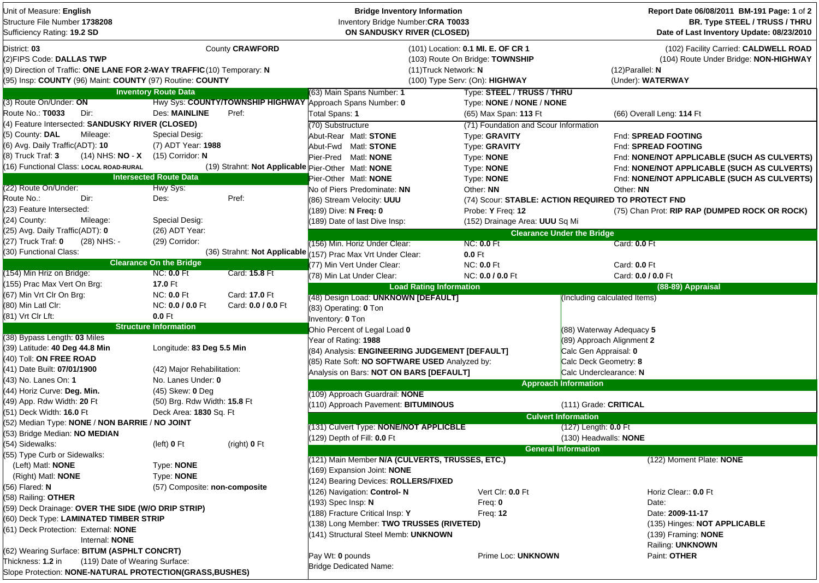| Unit of Measure: English<br>Structure File Number 1738208<br>Sufficiency Rating: 19.2 SD                                                                                         | <b>Bridge Inventory Information</b><br>Inventory Bridge Number: CRA T0033<br>ON SANDUSKY RIVER (CLOSED) |                                                    |                                                              |                                                                                                                                  | Report Date 06/08/2011 BM-191 Page: 1 of 2<br>BR. Type STEEL / TRUSS / THRU<br>Date of Last Inventory Update: 08/23/2010 |                                                                                                                           |  |  |
|----------------------------------------------------------------------------------------------------------------------------------------------------------------------------------|---------------------------------------------------------------------------------------------------------|----------------------------------------------------|--------------------------------------------------------------|----------------------------------------------------------------------------------------------------------------------------------|--------------------------------------------------------------------------------------------------------------------------|---------------------------------------------------------------------------------------------------------------------------|--|--|
| District: 03<br>(2) FIPS Code: DALLAS TWP<br>(9) Direction of Traffic: ONE LANE FOR 2-WAY TRAFFIC (10) Temporary: N<br>(95) Insp: COUNTY (96) Maint: COUNTY (97) Routine: COUNTY |                                                                                                         | County CRAWFORD                                    |                                                              | (101) Location: 0.1 MI. E. OF CR 1<br>(103) Route On Bridge: TOWNSHIP<br>(11) Truck Network: N<br>(100) Type Serv: (On): HIGHWAY |                                                                                                                          | (102) Facility Carried: CALDWELL ROAD<br>(104) Route Under Bridge: NON-HIGHWAY<br>$(12)$ Parallel: N<br>(Under): WATERWAY |  |  |
|                                                                                                                                                                                  | <b>Inventory Route Data</b>                                                                             |                                                    | (63) Main Spans Number: 1                                    | Type: STEEL / TRUSS / THRU                                                                                                       |                                                                                                                          |                                                                                                                           |  |  |
| (3) Route On/Under: ON                                                                                                                                                           |                                                                                                         |                                                    | Hwy Sys: COUNTY/TOWNSHIP HIGHWAY Approach Spans Number: 0    | Type: NONE / NONE / NONE                                                                                                         |                                                                                                                          |                                                                                                                           |  |  |
| Route No.: T0033<br>Dir:                                                                                                                                                         | Des: MAINLINE                                                                                           | Pref:                                              | Total Spans: 1                                               | (65) Max Span: 113 Ft                                                                                                            |                                                                                                                          | (66) Overall Leng: 114 Ft                                                                                                 |  |  |
| (4) Feature Intersected: SANDUSKY RIVER (CLOSED)                                                                                                                                 |                                                                                                         |                                                    | (70) Substructure                                            | (71) Foundation and Scour Information                                                                                            |                                                                                                                          |                                                                                                                           |  |  |
| (5) County: DAL<br>Mileage:                                                                                                                                                      | Special Desig:                                                                                          |                                                    | Abut-Rear Matl: STONE                                        | Type: GRAVITY                                                                                                                    |                                                                                                                          | Fnd: SPREAD FOOTING                                                                                                       |  |  |
| (6) Avg. Daily Traffic(ADT): 10                                                                                                                                                  | (7) ADT Year: 1988                                                                                      |                                                    | Abut-Fwd Matl: <b>STONE</b>                                  | Type: GRAVITY                                                                                                                    |                                                                                                                          | Fnd: SPREAD FOOTING                                                                                                       |  |  |
| (8) Truck Traf: 3<br>$(14)$ NHS: <b>NO</b> - <b>X</b>                                                                                                                            | $(15)$ Corridor: N                                                                                      |                                                    | Pier-Pred Matl: NONE                                         | Type: NONE                                                                                                                       |                                                                                                                          | Fnd: NONE/NOT APPLICABLE (SUCH AS CULVERTS)                                                                               |  |  |
| (16) Functional Class: LOCAL ROAD-RURAL                                                                                                                                          |                                                                                                         | (19) Strahnt: Not Applicable Pier-Other Matl: NONE |                                                              | Type: NONE                                                                                                                       |                                                                                                                          | Fnd: NONE/NOT APPLICABLE (SUCH AS CULVERTS)                                                                               |  |  |
|                                                                                                                                                                                  | <b>Intersected Route Data</b>                                                                           |                                                    | Pier-Other Matl: NONE                                        | Type: NONE                                                                                                                       |                                                                                                                          | Fnd: NONE/NOT APPLICABLE (SUCH AS CULVERTS)                                                                               |  |  |
| (22) Route On/Under:                                                                                                                                                             | Hwy Sys:                                                                                                |                                                    | No of Piers Predominate: NN                                  | Other: NN                                                                                                                        |                                                                                                                          | Other: NN                                                                                                                 |  |  |
| Route No.:<br>Dir:                                                                                                                                                               | Des:                                                                                                    | Pref:                                              | (86) Stream Velocity: UUU                                    |                                                                                                                                  | (74) Scour: STABLE: ACTION REQUIRED TO PROTECT FND                                                                       |                                                                                                                           |  |  |
| (23) Feature Intersected:                                                                                                                                                        |                                                                                                         |                                                    | (189) Dive: N Freq: 0                                        | Probe: Y Freq: 12                                                                                                                |                                                                                                                          | (75) Chan Prot: RIP RAP (DUMPED ROCK OR ROCK)                                                                             |  |  |
| (24) County:<br>Mileage:                                                                                                                                                         | Special Desig:                                                                                          |                                                    | (189) Date of last Dive Insp:                                |                                                                                                                                  |                                                                                                                          |                                                                                                                           |  |  |
| (25) Avg. Daily Traffic(ADT): 0                                                                                                                                                  | (26) ADT Year:                                                                                          |                                                    |                                                              | (152) Drainage Area: UUU Sq Mi                                                                                                   |                                                                                                                          |                                                                                                                           |  |  |
| (27) Truck Traf: 0<br>(28) NHS: -                                                                                                                                                | (29) Corridor:                                                                                          |                                                    |                                                              |                                                                                                                                  | <b>Clearance Under the Bridge</b>                                                                                        |                                                                                                                           |  |  |
| (30) Functional Class:                                                                                                                                                           |                                                                                                         |                                                    | (156) Min. Horiz Under Clear:                                | <b>NC: 0.0 Ft</b>                                                                                                                |                                                                                                                          | Card: 0.0 Ft                                                                                                              |  |  |
|                                                                                                                                                                                  | <b>Clearance On the Bridge</b>                                                                          |                                                    | (36) Strahnt: Not Applicable (157) Prac Max Vrt Under Clear: | 0.0 Ft                                                                                                                           |                                                                                                                          |                                                                                                                           |  |  |
|                                                                                                                                                                                  |                                                                                                         |                                                    | (77) Min Vert Under Clear:                                   | <b>NC: 0.0 Ft</b>                                                                                                                |                                                                                                                          | Card: 0.0 Ft                                                                                                              |  |  |
| (154) Min Hriz on Bridge:                                                                                                                                                        | <b>NC: 0.0 Ft</b>                                                                                       | Card: 15.8 Ft                                      | (78) Min Lat Under Clear:                                    | NC: 0.0 / 0.0 Ft                                                                                                                 |                                                                                                                          | Card: 0.0 / 0.0 Ft                                                                                                        |  |  |
| (155) Prac Max Vert On Brg:                                                                                                                                                      | 17.0 Ft                                                                                                 |                                                    | <b>Load Rating Information</b>                               |                                                                                                                                  |                                                                                                                          | (88-89) Appraisal                                                                                                         |  |  |
| (67) Min Vrt Clr On Brg:                                                                                                                                                         | <b>NC: 0.0 Ft</b>                                                                                       | Card: 17.0 Ft                                      | (48) Design Load: UNKNOWN [DEFAULT]                          |                                                                                                                                  | Including calculated Items)                                                                                              |                                                                                                                           |  |  |
| (80) Min Latl Clr:                                                                                                                                                               | NC: 0.0 / 0.0 Ft                                                                                        | Card: 0.0 / 0.0 Ft                                 | (83) Operating: 0 Ton                                        |                                                                                                                                  |                                                                                                                          |                                                                                                                           |  |  |
| (81) Vrt Clr Lft:                                                                                                                                                                | $0.0$ Ft                                                                                                |                                                    | Inventory: 0 Ton                                             |                                                                                                                                  |                                                                                                                          |                                                                                                                           |  |  |
|                                                                                                                                                                                  | <b>Structure Information</b>                                                                            |                                                    | Ohio Percent of Legal Load 0                                 |                                                                                                                                  | $(88)$ Waterway Adequacy 5                                                                                               |                                                                                                                           |  |  |
| (38) Bypass Length: 03 Miles                                                                                                                                                     |                                                                                                         |                                                    | Year of Rating: 1988                                         |                                                                                                                                  | (89) Approach Alignment 2                                                                                                |                                                                                                                           |  |  |
| (39) Latitude: 40 Deg 44.8 Min                                                                                                                                                   | Longitude: 83 Deg 5.5 Min                                                                               |                                                    | (84) Analysis: ENGINEERING JUDGEMENT [DEFAULT]               |                                                                                                                                  | Calc Gen Appraisal: 0                                                                                                    |                                                                                                                           |  |  |
| (40) Toll: ON FREE ROAD                                                                                                                                                          |                                                                                                         |                                                    | (85) Rate Soft: NO SOFTWARE USED Analyzed by:                |                                                                                                                                  | Calc Deck Geometry: 8                                                                                                    |                                                                                                                           |  |  |
| (41) Date Built: 07/01/1900                                                                                                                                                      | (42) Major Rehabilitation:                                                                              |                                                    | Analysis on Bars: NOT ON BARS [DEFAULT]                      |                                                                                                                                  | Calc Underclearance: N                                                                                                   |                                                                                                                           |  |  |
| (43) No. Lanes On: 1                                                                                                                                                             | No. Lanes Under: 0                                                                                      |                                                    |                                                              |                                                                                                                                  | <b>Approach Information</b>                                                                                              |                                                                                                                           |  |  |
| (44) Horiz Curve: Deg. Min.                                                                                                                                                      | $(45)$ Skew: 0 Deg                                                                                      |                                                    | (109) Approach Guardrail: NONE                               |                                                                                                                                  |                                                                                                                          |                                                                                                                           |  |  |
| (49) App. Rdw Width: 20 Ft                                                                                                                                                       | (50) Brg. Rdw Width: 15.8 Ft                                                                            |                                                    | (110) Approach Pavement: BITUMINOUS                          |                                                                                                                                  | (111) Grade: CRITICAL                                                                                                    |                                                                                                                           |  |  |
| (51) Deck Width: 16.0 Ft                                                                                                                                                         | Deck Area: 1830 Sq. Ft                                                                                  |                                                    |                                                              |                                                                                                                                  | <b>Culvert Information</b>                                                                                               |                                                                                                                           |  |  |
| (52) Median Type: NONE / NON BARRIE / NO JOINT                                                                                                                                   |                                                                                                         |                                                    | (131) Culvert Type: NONE/NOT APPLICBLE                       |                                                                                                                                  | (127) Length: 0.0 Ft                                                                                                     |                                                                                                                           |  |  |
| (53) Bridge Median: NO MEDIAN                                                                                                                                                    |                                                                                                         |                                                    | (129) Depth of Fill: 0.0 Ft                                  |                                                                                                                                  | (130) Headwalls: NONE                                                                                                    |                                                                                                                           |  |  |
| (54) Sidewalks:                                                                                                                                                                  | (left) $0$ Ft                                                                                           | (right) $0$ Ft                                     |                                                              |                                                                                                                                  |                                                                                                                          |                                                                                                                           |  |  |
| (55) Type Curb or Sidewalks:                                                                                                                                                     |                                                                                                         |                                                    |                                                              |                                                                                                                                  | <b>General Information</b>                                                                                               | (122) Moment Plate: NONE                                                                                                  |  |  |
| (Left) Matl: <b>NONE</b>                                                                                                                                                         | Type: NONE                                                                                              |                                                    | (121) Main Member N/A (CULVERTS, TRUSSES, ETC.)              |                                                                                                                                  |                                                                                                                          |                                                                                                                           |  |  |
| (Right) Matl: <b>NONE</b>                                                                                                                                                        | Type: NONE                                                                                              |                                                    | (169) Expansion Joint: NONE                                  |                                                                                                                                  |                                                                                                                          |                                                                                                                           |  |  |
| (56) Flared: N                                                                                                                                                                   | (57) Composite: non-composite                                                                           |                                                    | (124) Bearing Devices: ROLLERS/FIXED                         |                                                                                                                                  |                                                                                                                          |                                                                                                                           |  |  |
| (58) Railing: OTHER                                                                                                                                                              |                                                                                                         |                                                    | (126) Navigation: Control-N                                  | Vert Clr: 0.0 Ft                                                                                                                 |                                                                                                                          | Horiz Clear:: 0.0 Ft                                                                                                      |  |  |
| (59) Deck Drainage: OVER THE SIDE (W/O DRIP STRIP)                                                                                                                               |                                                                                                         |                                                    | (193) Spec Insp: N                                           | Freq: $0$                                                                                                                        |                                                                                                                          | Date:                                                                                                                     |  |  |
| (60) Deck Type: LAMINATED TIMBER STRIP                                                                                                                                           |                                                                                                         |                                                    | 188) Fracture Critical Insp: Y                               | Freq: $12$                                                                                                                       |                                                                                                                          | Date: 2009-11-17                                                                                                          |  |  |
| (61) Deck Protection: External: NONE                                                                                                                                             |                                                                                                         |                                                    | (138) Long Member: TWO TRUSSES (RIVETED)                     |                                                                                                                                  |                                                                                                                          | (135) Hinges: NOT APPLICABLE                                                                                              |  |  |
| Internal: NONE                                                                                                                                                                   |                                                                                                         |                                                    | (141) Structural Steel Memb: UNKNOWN                         |                                                                                                                                  |                                                                                                                          | (139) Framing: <b>NONE</b>                                                                                                |  |  |
| (62) Wearing Surface: BITUM (ASPHLT CONCRT)                                                                                                                                      |                                                                                                         |                                                    |                                                              |                                                                                                                                  |                                                                                                                          | Railing: UNKNOWN                                                                                                          |  |  |
| Thickness: 1.2 in<br>(119) Date of Wearing Surface:                                                                                                                              |                                                                                                         |                                                    | Pay Wt: 0 pounds                                             | Prime Loc: UNKNOWN                                                                                                               |                                                                                                                          | Paint: OTHER                                                                                                              |  |  |
| Slope Protection: NONE-NATURAL PROTECTION(GRASS, BUSHES)                                                                                                                         |                                                                                                         |                                                    | <b>Bridge Dedicated Name:</b>                                |                                                                                                                                  |                                                                                                                          |                                                                                                                           |  |  |
|                                                                                                                                                                                  |                                                                                                         |                                                    |                                                              |                                                                                                                                  |                                                                                                                          |                                                                                                                           |  |  |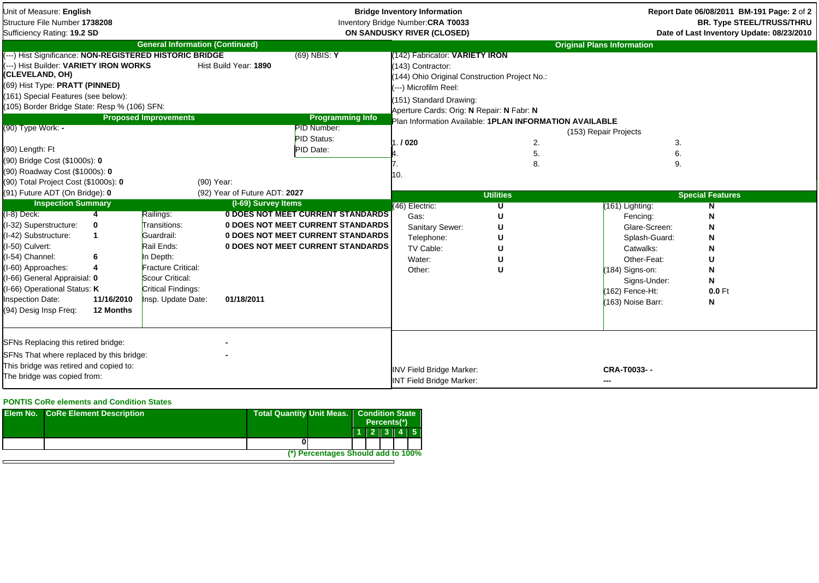| Unit of Measure: English<br>Structure File Number 1738208<br>Sufficiency Rating: 19.2 SD                                                                                                                                                                                                                                                                |                                   |                                                                                                                                                                              |                                                                    | <b>Bridge Inventory Information</b><br>Inventory Bridge Number: CRA T0033<br>ON SANDUSKY RIVER (CLOSED)                                                 |                                                                                                                                                                                                                                                                             |                                                | Report Date 06/08/2011 BM-191 Page: 2 of 2<br><b>BR. Type STEEL/TRUSS/THRU</b><br>Date of Last Inventory Update: 08/23/2010                                          |                                                                                |
|---------------------------------------------------------------------------------------------------------------------------------------------------------------------------------------------------------------------------------------------------------------------------------------------------------------------------------------------------------|-----------------------------------|------------------------------------------------------------------------------------------------------------------------------------------------------------------------------|--------------------------------------------------------------------|---------------------------------------------------------------------------------------------------------------------------------------------------------|-----------------------------------------------------------------------------------------------------------------------------------------------------------------------------------------------------------------------------------------------------------------------------|------------------------------------------------|----------------------------------------------------------------------------------------------------------------------------------------------------------------------|--------------------------------------------------------------------------------|
| (---) Hist Significance: NON-REGISTERED HISTORIC BRIDGE<br>---) Hist Builder: VARIETY IRON WORKS<br>(CLEVELAND, OH)<br>(69) Hist Type: PRATT (PINNED)<br>(161) Special Features (see below):<br>(105) Border Bridge State: Resp % (106) SFN:<br>(90) Type Work: -<br>(90) Length: Ft<br>(90) Bridge Cost (\$1000s): 0<br>(90) Roadway Cost (\$1000s): 0 |                                   | <b>General Information (Continued)</b><br><b>Proposed Improvements</b>                                                                                                       | Hist Build Year: 1890                                              | $(69)$ NBIS: Y<br><b>Programming Info</b><br>PID Number:<br>PID Status:<br>PID Date:                                                                    | 142) Fabricator: VARIETY IRON<br>143) Contractor:<br>144) Ohio Original Construction Project No.:<br>---) Microfilm Reel:<br>151) Standard Drawing:<br>Aperture Cards: Orig: N Repair: N Fabr: N<br>Plan Information Available: 1PLAN INFORMATION AVAILABLE<br>.1020<br>10. | 2.<br>5.<br>8.                                 | <b>Original Plans Information</b><br>(153) Repair Projects<br>3.<br>6.<br>9.                                                                                         |                                                                                |
| (90) Total Project Cost (\$1000s): 0<br>(91) Future ADT (On Bridge): 0<br><b>Inspection Summary</b><br>$(I-8)$ Deck:<br>(I-32) Superstructure:<br>(I-42) Substructure:<br>(I-50) Culvert:<br>I-54) Channel:<br>I-60) Approaches:<br>I-66) General Appraisial: 0<br>I-66) Operational Status: K<br><b>Inspection Date:</b><br>(94) Desig Insp Freg:      | 0<br>6<br>11/16/2010<br>12 Months | (90) Year:<br>Railings:<br>Transitions:<br>Guardrail:<br>Rail Ends:<br>In Depth:<br>Fracture Critical:<br>Scour Critical:<br><b>Critical Findings:</b><br>Insp. Update Date: | (92) Year of Future ADT: 2027<br>(I-69) Survey Items<br>01/18/2011 | <b>0 DOES NOT MEET CURRENT STANDARDS</b><br>0 DOES NOT MEET CURRENT STANDARDS<br>0 DOES NOT MEET CURRENT STANDARDS<br>0 DOES NOT MEET CURRENT STANDARDS | (46) Electric:<br>Gas:<br>Sanitary Sewer:<br>Telephone:<br>TV Cable:<br>Water:<br>Other:                                                                                                                                                                                    | <b>Utilities</b><br>π<br>U<br>U<br>U<br>п<br>U | (161) Lighting:<br>Fencing:<br>Glare-Screen:<br>Splash-Guard:<br>Catwalks:<br>Other-Feat:<br>(184) Signs-on:<br>Signs-Under:<br>(162) Fence-Ht:<br>(163) Noise Barr: | <b>Special Features</b><br>N<br>N<br>N<br>N<br>N<br>U<br>N<br>N<br>0.0 Ft<br>N |
| SFNs Replacing this retired bridge:<br>SFNs That where replaced by this bridge:<br>This bridge was retired and copied to:<br>The bridge was copied from:                                                                                                                                                                                                |                                   |                                                                                                                                                                              |                                                                    |                                                                                                                                                         | <b>INV Field Bridge Marker:</b><br><b>INT Field Bridge Marker:</b>                                                                                                                                                                                                          |                                                | CRA-T0033--                                                                                                                                                          |                                                                                |

## **PONTIS CoRe elements and Condition States**

| <b>Elem No. CoRe Element Description</b> | <b>Total Quantity Unit Meas.</b> |                                    | <b>Condition State</b><br>Percents(*) |  |  |  |                     |
|------------------------------------------|----------------------------------|------------------------------------|---------------------------------------|--|--|--|---------------------|
|                                          |                                  |                                    |                                       |  |  |  | $1$   2   3   4   5 |
|                                          |                                  |                                    |                                       |  |  |  |                     |
|                                          |                                  | (*) Percentages Should add to 100% |                                       |  |  |  |                     |
|                                          |                                  |                                    |                                       |  |  |  |                     |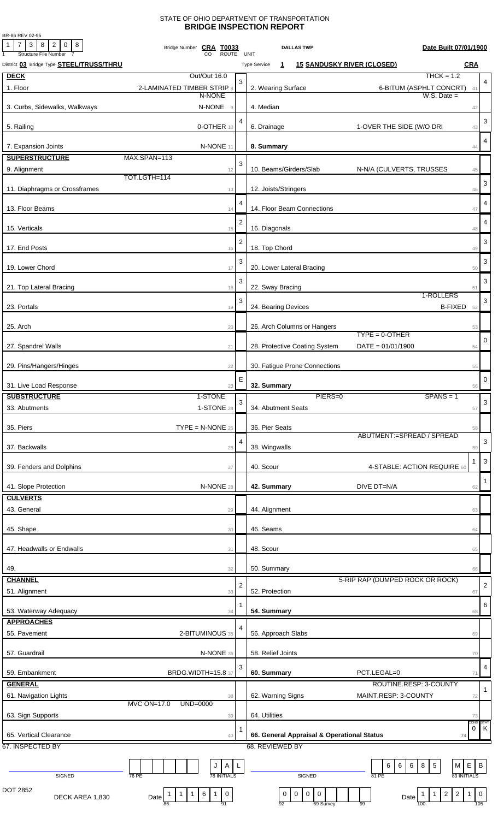## STATE OF OHIO DEPARTMENT OF TRANSPORTATION **BRIDGE INSPECTION REPORT**

BR-86 REV 02-95

| 7 3 8<br>$2 \mid 0 \mid 8$<br>1<br><b>Structure File Number</b> | Bridge Number CRA T0033<br><b>ROUTE</b>                 |                | <b>DALLAS TWP</b><br><b>UNIT</b>                                         | Date Built 07/01/1900                                         |                           |
|-----------------------------------------------------------------|---------------------------------------------------------|----------------|--------------------------------------------------------------------------|---------------------------------------------------------------|---------------------------|
| District 03 Bridge Type <b>STEEL/TRUSS/THRU</b>                 |                                                         |                | <b>15 SANDUSKY RIVER (CLOSED)</b><br><b>Type Service</b><br>$\mathbf{1}$ | <b>CRA</b>                                                    |                           |
| <b>DECK</b>                                                     | Out/Out 16.0                                            |                |                                                                          | $THCK = 1.2$                                                  |                           |
| 1. Floor                                                        | 2-LAMINATED TIMBER STRIP 8                              | 3              | 2. Wearing Surface                                                       | 6-BITUM (ASPHLT CONCRT)<br>41                                 | 4                         |
|                                                                 | N-NONE                                                  |                |                                                                          | $W.S.$ Date $=$                                               |                           |
| 3. Curbs, Sidewalks, Walkways                                   | N-NONE<br>$\overline{9}$                                |                | 4. Median                                                                | 42                                                            |                           |
| 5. Railing                                                      | 0-OTHER 10                                              | 4              | 6. Drainage                                                              | 1-OVER THE SIDE (W/O DRI<br>43                                | 3                         |
|                                                                 |                                                         |                |                                                                          |                                                               |                           |
| 7. Expansion Joints                                             | N-NONE 11                                               |                | 8. Summary                                                               | 44                                                            | $\overline{4}$            |
| <b>SUPERSTRUCTURE</b>                                           | MAX.SPAN=113                                            |                |                                                                          |                                                               |                           |
| 9. Alignment                                                    | 12                                                      | 3              | 10. Beams/Girders/Slab                                                   | N-N/A (CULVERTS, TRUSSES<br>45                                |                           |
|                                                                 | TOT.LGTH=114                                            |                |                                                                          |                                                               | 3                         |
| 11. Diaphragms or Crossframes                                   | 13                                                      |                | 12. Joists/Stringers                                                     | 46                                                            |                           |
| 13. Floor Beams                                                 |                                                         | 4              | 14. Floor Beam Connections                                               |                                                               | 4                         |
|                                                                 | 14                                                      |                |                                                                          | 47                                                            |                           |
| 15. Verticals                                                   | 15                                                      | $\overline{2}$ | 16. Diagonals                                                            | 48                                                            | 4                         |
|                                                                 |                                                         | $\overline{2}$ |                                                                          |                                                               | 3                         |
| 17. End Posts                                                   | 16                                                      |                | 18. Top Chord                                                            | 49                                                            |                           |
|                                                                 |                                                         | 3              |                                                                          |                                                               | 3                         |
| 19. Lower Chord                                                 | 17                                                      |                | 20. Lower Lateral Bracing                                                | 50                                                            |                           |
| 21. Top Lateral Bracing                                         | 18                                                      | 3              | 22. Sway Bracing                                                         | 51                                                            | 3                         |
|                                                                 |                                                         | 3              |                                                                          | 1-ROLLERS                                                     | 3                         |
| 23. Portals                                                     | 19                                                      |                | 24. Bearing Devices                                                      | B-FIXED 52                                                    |                           |
|                                                                 |                                                         |                |                                                                          |                                                               |                           |
| 25. Arch                                                        | 20                                                      |                | 26. Arch Columns or Hangers                                              | 53<br>$TYPE = 0 - OTHER$                                      |                           |
| 27. Spandrel Walls                                              | 21                                                      |                | 28. Protective Coating System                                            | $DATE = 01/01/1900$<br>54                                     | 0                         |
|                                                                 |                                                         |                |                                                                          |                                                               |                           |
| 29. Pins/Hangers/Hinges                                         | 22                                                      |                | 30. Fatigue Prone Connections                                            | 55                                                            |                           |
|                                                                 |                                                         | E              |                                                                          |                                                               | 0                         |
| 31. Live Load Response                                          | 23                                                      |                | 32. Summary                                                              | 56                                                            |                           |
| <b>SUBSTRUCTURE</b>                                             | 1-STONE                                                 | 3 <sup>1</sup> | PIERS=0                                                                  | $SPANS = 1$                                                   | $\ensuremath{\mathsf{3}}$ |
| 33. Abutments                                                   | 1-STONE 24                                              |                | 34. Abutment Seats                                                       | 57                                                            |                           |
| 35. Piers                                                       | $\mathsf{TYPE} = \mathsf{N}\text{-}\mathsf{NONE}$ 25    |                | 36. Pier Seats                                                           | 58                                                            |                           |
|                                                                 |                                                         |                |                                                                          | ABUTMENT:=SPREAD / SPREAD                                     |                           |
| 37. Backwalls                                                   | 26                                                      | 4              | 38. Wingwalls                                                            | 59                                                            | 3                         |
|                                                                 |                                                         |                |                                                                          | -1                                                            | $\mathbf{3}$              |
| 39. Fenders and Dolphins                                        | 27                                                      |                | 40. Scour                                                                | 4-STABLE: ACTION REQUIRE 60                                   |                           |
| 41. Slope Protection                                            | N-NONE 28                                               |                | 42. Summary                                                              | DIVE DT=N/A                                                   | $\mathbf{1}$              |
| <b>CULVERTS</b>                                                 |                                                         |                |                                                                          | 62                                                            |                           |
| 43. General                                                     | 29                                                      |                | 44. Alignment                                                            | 63                                                            |                           |
|                                                                 |                                                         |                |                                                                          |                                                               |                           |
| 45. Shape                                                       | 30                                                      |                | 46. Seams                                                                | 64                                                            |                           |
|                                                                 |                                                         |                |                                                                          |                                                               |                           |
| 47. Headwalls or Endwalls                                       | 31                                                      |                | 48. Scour                                                                | 65                                                            |                           |
| 49.                                                             | 32                                                      |                | 50. Summary                                                              | 66                                                            |                           |
| <b>CHANNEL</b>                                                  |                                                         |                |                                                                          | 5-RIP RAP (DUMPED ROCK OR ROCK)                               |                           |
| 51. Alignment                                                   | 33                                                      | $\overline{2}$ | 52. Protection                                                           | 67                                                            | $\mathbf 2$               |
|                                                                 |                                                         |                |                                                                          |                                                               |                           |
| 53. Waterway Adequacy                                           | 34                                                      | 1              | 54. Summary                                                              | 68                                                            | 6                         |
| <b>APPROACHES</b>                                               |                                                         |                |                                                                          |                                                               |                           |
| 55. Pavement                                                    | 2-BITUMINOUS 35                                         | 4              | 56. Approach Slabs                                                       | 69                                                            |                           |
|                                                                 |                                                         |                |                                                                          |                                                               |                           |
| 57. Guardrail                                                   | N-NONE 36                                               |                | 58. Relief Joints                                                        | 70                                                            |                           |
| 59. Embankment                                                  | <b>BRDG.WIDTH=15.8 37</b>                               | 3              | 60. Summary                                                              | PCT.LEGAL=0<br>71                                             | 4                         |
| <b>GENERAL</b>                                                  |                                                         |                |                                                                          | ROUTINE.RESP: 3-COUNTY                                        |                           |
| 61. Navigation Lights                                           | 38                                                      |                | 62. Warning Signs                                                        | MAINT.RESP: 3-COUNTY<br>72                                    | $\mathbf{1}$              |
|                                                                 | MVC ON=17.0<br>UND=0000                                 |                |                                                                          |                                                               |                           |
| 63. Sign Supports                                               | 39                                                      |                | 64. Utilities                                                            | 73                                                            |                           |
|                                                                 |                                                         |                |                                                                          | COND:<br>0                                                    | STAT<br>ΙK                |
| 65. Vertical Clearance                                          | 40                                                      |                | 66. General Appraisal & Operational Status                               | 74                                                            |                           |
| 67. INSPECTED BY                                                |                                                         |                | 68. REVIEWED BY                                                          |                                                               |                           |
|                                                                 | J<br>A                                                  | L              |                                                                          | $\sqrt{5}$<br>E<br>6<br>6<br>6<br> 8<br>M                     | $\,$ B                    |
| SIGNED                                                          | <b>78 INITIALS</b><br>76 PE                             |                | SIGNED                                                                   | 83 INITIALS<br>81 PE                                          |                           |
| DOT 2852                                                        |                                                         |                |                                                                          |                                                               |                           |
| DECK AREA 1,830                                                 | $\pmb{0}$<br>$6 \mid$<br>1<br>$\mathbf{1}$<br>1<br>Date |                | $\mathsf 0$<br>$\boldsymbol{0}$<br>$\mathbf 0$<br>$\bf{0}$<br>69 Survey  | $\overline{2}$<br>$\overline{2}$<br>$\mathbf{1}$<br>1<br>Date | $\overline{0}$<br>105     |
|                                                                 | 91<br>86                                                |                | 92                                                                       | 99<br>100                                                     |                           |